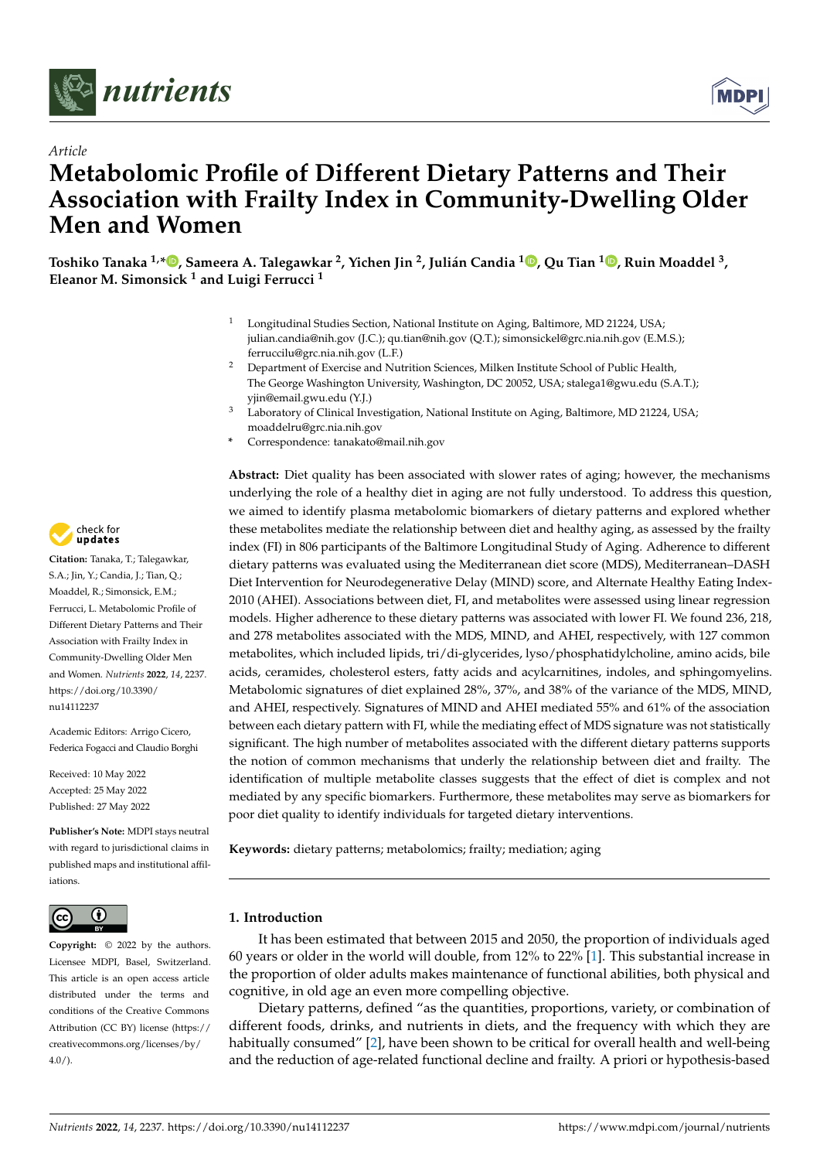



# *Article* **Metabolomic Profile of Different Dietary Patterns and Their Association with Frailty Index in Community-Dwelling Older Men and Women**

Toshiko Tanaka <sup>1[,](https://orcid.org/0000-0003-2706-1439)</sup>\*®, Sameera A. Talegawkar <sup>2</sup>, Yichen Jin <sup>2</sup>, Julián Candia <sup>1</sup>®, Qu Tian <sup>1</sup>®, Ruin Moaddel <sup>3</sup>, **Eleanor M. Simonsick <sup>1</sup> and Luigi Ferrucci <sup>1</sup>**

- Longitudinal Studies Section, National Institute on Aging, Baltimore, MD 21224, USA; julian.candia@nih.gov (J.C.); qu.tian@nih.gov (Q.T.); simonsickel@grc.nia.nih.gov (E.M.S.); ferruccilu@grc.nia.nih.gov (L.F.)
- <sup>2</sup> Department of Exercise and Nutrition Sciences, Milken Institute School of Public Health, The George Washington University, Washington, DC 20052, USA; stalega1@gwu.edu (S.A.T.); yjin@email.gwu.edu (Y.J.)
- Laboratory of Clinical Investigation, National Institute on Aging, Baltimore, MD 21224, USA; moaddelru@grc.nia.nih.gov
- **\*** Correspondence: tanakato@mail.nih.gov

**Abstract:** Diet quality has been associated with slower rates of aging; however, the mechanisms underlying the role of a healthy diet in aging are not fully understood. To address this question, we aimed to identify plasma metabolomic biomarkers of dietary patterns and explored whether these metabolites mediate the relationship between diet and healthy aging, as assessed by the frailty index (FI) in 806 participants of the Baltimore Longitudinal Study of Aging. Adherence to different dietary patterns was evaluated using the Mediterranean diet score (MDS), Mediterranean–DASH Diet Intervention for Neurodegenerative Delay (MIND) score, and Alternate Healthy Eating Index-2010 (AHEI). Associations between diet, FI, and metabolites were assessed using linear regression models. Higher adherence to these dietary patterns was associated with lower FI. We found 236, 218, and 278 metabolites associated with the MDS, MIND, and AHEI, respectively, with 127 common metabolites, which included lipids, tri/di-glycerides, lyso/phosphatidylcholine, amino acids, bile acids, ceramides, cholesterol esters, fatty acids and acylcarnitines, indoles, and sphingomyelins. Metabolomic signatures of diet explained 28%, 37%, and 38% of the variance of the MDS, MIND, and AHEI, respectively. Signatures of MIND and AHEI mediated 55% and 61% of the association between each dietary pattern with FI, while the mediating effect of MDS signature was not statistically significant. The high number of metabolites associated with the different dietary patterns supports the notion of common mechanisms that underly the relationship between diet and frailty. The identification of multiple metabolite classes suggests that the effect of diet is complex and not mediated by any specific biomarkers. Furthermore, these metabolites may serve as biomarkers for poor diet quality to identify individuals for targeted dietary interventions.

**Keywords:** dietary patterns; metabolomics; frailty; mediation; aging

# **1. Introduction**

It has been estimated that between 2015 and 2050, the proportion of individuals aged 60 years or older in the world will double, from 12% to 22% [\[1\]](#page-10-0). This substantial increase in the proportion of older adults makes maintenance of functional abilities, both physical and cognitive, in old age an even more compelling objective.

Dietary patterns, defined "as the quantities, proportions, variety, or combination of different foods, drinks, and nutrients in diets, and the frequency with which they are habitually consumed" [\[2\]](#page-10-1), have been shown to be critical for overall health and well-being and the reduction of age-related functional decline and frailty. A priori or hypothesis-based



**Citation:** Tanaka, T.; Talegawkar, S.A.; Jin, Y.; Candia, J.; Tian, Q.; Moaddel, R.; Simonsick, E.M.; Ferrucci, L. Metabolomic Profile of Different Dietary Patterns and Their Association with Frailty Index in Community-Dwelling Older Men and Women. *Nutrients* **2022**, *14*, 2237. [https://doi.org/10.3390/](https://doi.org/10.3390/nu14112237) [nu14112237](https://doi.org/10.3390/nu14112237)

Academic Editors: Arrigo Cicero, Federica Fogacci and Claudio Borghi

Received: 10 May 2022 Accepted: 25 May 2022 Published: 27 May 2022

**Publisher's Note:** MDPI stays neutral with regard to jurisdictional claims in published maps and institutional affiliations.



**Copyright:** © 2022 by the authors. Licensee MDPI, Basel, Switzerland. This article is an open access article distributed under the terms and conditions of the Creative Commons Attribution (CC BY) license [\(https://](https://creativecommons.org/licenses/by/4.0/) [creativecommons.org/licenses/by/](https://creativecommons.org/licenses/by/4.0/)  $4.0/$ ).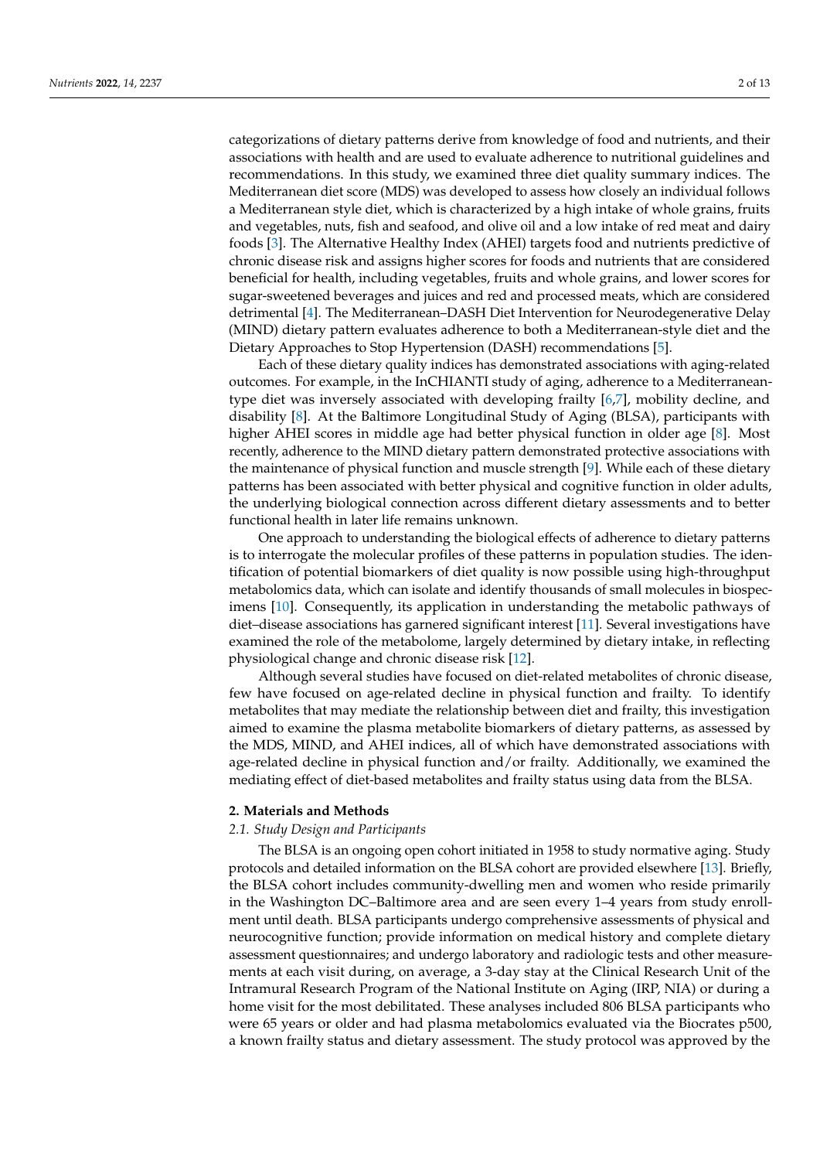categorizations of dietary patterns derive from knowledge of food and nutrients, and their associations with health and are used to evaluate adherence to nutritional guidelines and recommendations. In this study, we examined three diet quality summary indices. The Mediterranean diet score (MDS) was developed to assess how closely an individual follows a Mediterranean style diet, which is characterized by a high intake of whole grains, fruits and vegetables, nuts, fish and seafood, and olive oil and a low intake of red meat and dairy foods [\[3\]](#page-10-2). The Alternative Healthy Index (AHEI) targets food and nutrients predictive of chronic disease risk and assigns higher scores for foods and nutrients that are considered beneficial for health, including vegetables, fruits and whole grains, and lower scores for sugar-sweetened beverages and juices and red and processed meats, which are considered detrimental [\[4\]](#page-10-3). The Mediterranean–DASH Diet Intervention for Neurodegenerative Delay (MIND) dietary pattern evaluates adherence to both a Mediterranean-style diet and the Dietary Approaches to Stop Hypertension (DASH) recommendations [\[5\]](#page-10-4).

Each of these dietary quality indices has demonstrated associations with aging-related outcomes. For example, in the InCHIANTI study of aging, adherence to a Mediterraneantype diet was inversely associated with developing frailty [\[6,](#page-10-5)[7\]](#page-10-6), mobility decline, and disability [\[8\]](#page-10-7). At the Baltimore Longitudinal Study of Aging (BLSA), participants with higher AHEI scores in middle age had better physical function in older age [\[8\]](#page-10-7). Most recently, adherence to the MIND dietary pattern demonstrated protective associations with the maintenance of physical function and muscle strength [\[9\]](#page-10-8). While each of these dietary patterns has been associated with better physical and cognitive function in older adults, the underlying biological connection across different dietary assessments and to better functional health in later life remains unknown.

One approach to understanding the biological effects of adherence to dietary patterns is to interrogate the molecular profiles of these patterns in population studies. The identification of potential biomarkers of diet quality is now possible using high-throughput metabolomics data, which can isolate and identify thousands of small molecules in biospecimens [\[10\]](#page-10-9). Consequently, its application in understanding the metabolic pathways of diet–disease associations has garnered significant interest [\[11\]](#page-10-10). Several investigations have examined the role of the metabolome, largely determined by dietary intake, in reflecting physiological change and chronic disease risk [\[12\]](#page-10-11).

Although several studies have focused on diet-related metabolites of chronic disease, few have focused on age-related decline in physical function and frailty. To identify metabolites that may mediate the relationship between diet and frailty, this investigation aimed to examine the plasma metabolite biomarkers of dietary patterns, as assessed by the MDS, MIND, and AHEI indices, all of which have demonstrated associations with age-related decline in physical function and/or frailty. Additionally, we examined the mediating effect of diet-based metabolites and frailty status using data from the BLSA.

#### **2. Materials and Methods**

#### *2.1. Study Design and Participants*

The BLSA is an ongoing open cohort initiated in 1958 to study normative aging. Study protocols and detailed information on the BLSA cohort are provided elsewhere [\[13\]](#page-10-12). Briefly, the BLSA cohort includes community-dwelling men and women who reside primarily in the Washington DC–Baltimore area and are seen every 1–4 years from study enrollment until death. BLSA participants undergo comprehensive assessments of physical and neurocognitive function; provide information on medical history and complete dietary assessment questionnaires; and undergo laboratory and radiologic tests and other measurements at each visit during, on average, a 3-day stay at the Clinical Research Unit of the Intramural Research Program of the National Institute on Aging (IRP, NIA) or during a home visit for the most debilitated. These analyses included 806 BLSA participants who were 65 years or older and had plasma metabolomics evaluated via the Biocrates p500, a known frailty status and dietary assessment. The study protocol was approved by the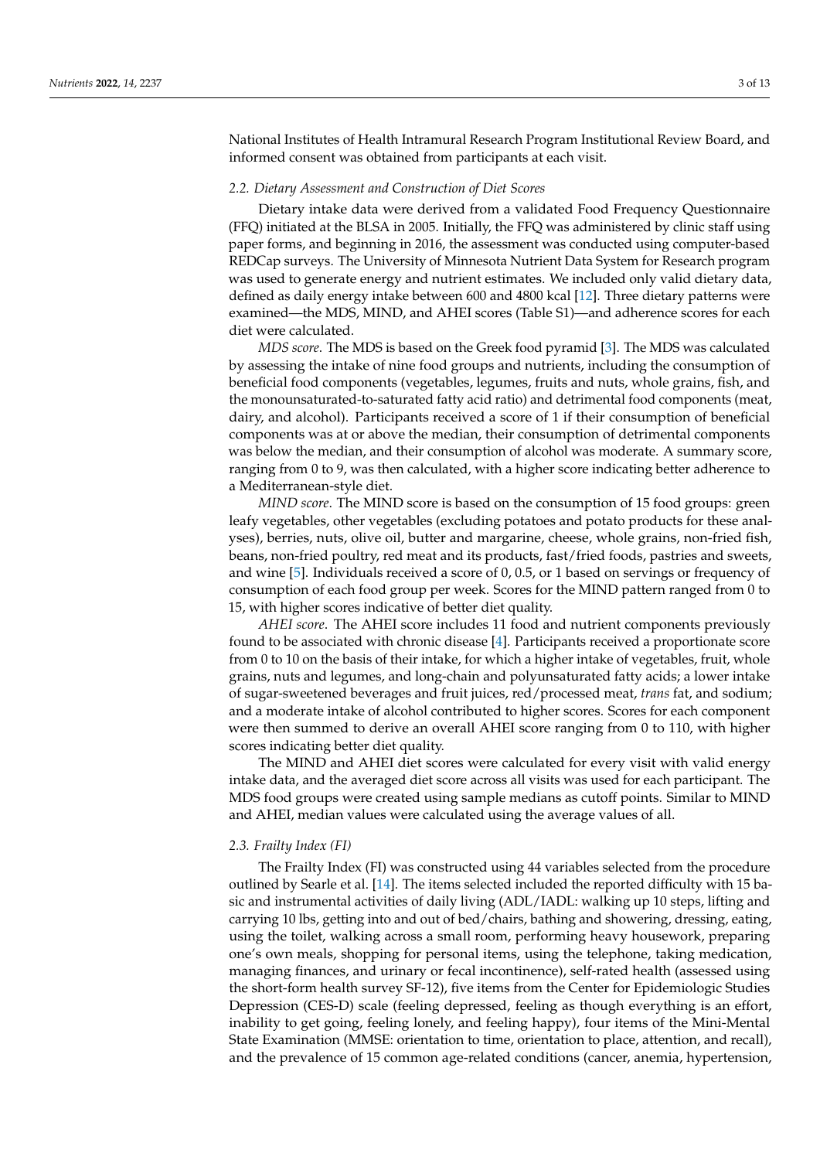National Institutes of Health Intramural Research Program Institutional Review Board, and informed consent was obtained from participants at each visit.

#### *2.2. Dietary Assessment and Construction of Diet Scores*

Dietary intake data were derived from a validated Food Frequency Questionnaire (FFQ) initiated at the BLSA in 2005. Initially, the FFQ was administered by clinic staff using paper forms, and beginning in 2016, the assessment was conducted using computer-based REDCap surveys. The University of Minnesota Nutrient Data System for Research program was used to generate energy and nutrient estimates. We included only valid dietary data, defined as daily energy intake between 600 and 4800 kcal [\[12\]](#page-10-11). Three dietary patterns were examined—the MDS, MIND, and AHEI scores (Table S1)—and adherence scores for each diet were calculated.

*MDS score*. The MDS is based on the Greek food pyramid [\[3\]](#page-10-2). The MDS was calculated by assessing the intake of nine food groups and nutrients, including the consumption of beneficial food components (vegetables, legumes, fruits and nuts, whole grains, fish, and the monounsaturated-to-saturated fatty acid ratio) and detrimental food components (meat, dairy, and alcohol). Participants received a score of 1 if their consumption of beneficial components was at or above the median, their consumption of detrimental components was below the median, and their consumption of alcohol was moderate. A summary score, ranging from 0 to 9, was then calculated, with a higher score indicating better adherence to a Mediterranean-style diet.

*MIND score*. The MIND score is based on the consumption of 15 food groups: green leafy vegetables, other vegetables (excluding potatoes and potato products for these analyses), berries, nuts, olive oil, butter and margarine, cheese, whole grains, non-fried fish, beans, non-fried poultry, red meat and its products, fast/fried foods, pastries and sweets, and wine [\[5\]](#page-10-4). Individuals received a score of 0, 0.5, or 1 based on servings or frequency of consumption of each food group per week. Scores for the MIND pattern ranged from 0 to 15, with higher scores indicative of better diet quality.

*AHEI score*. The AHEI score includes 11 food and nutrient components previously found to be associated with chronic disease [\[4\]](#page-10-3). Participants received a proportionate score from 0 to 10 on the basis of their intake, for which a higher intake of vegetables, fruit, whole grains, nuts and legumes, and long-chain and polyunsaturated fatty acids; a lower intake of sugar-sweetened beverages and fruit juices, red/processed meat, *trans* fat, and sodium; and a moderate intake of alcohol contributed to higher scores. Scores for each component were then summed to derive an overall AHEI score ranging from 0 to 110, with higher scores indicating better diet quality.

The MIND and AHEI diet scores were calculated for every visit with valid energy intake data, and the averaged diet score across all visits was used for each participant. The MDS food groups were created using sample medians as cutoff points. Similar to MIND and AHEI, median values were calculated using the average values of all.

#### *2.3. Frailty Index (FI)*

The Frailty Index (FI) was constructed using 44 variables selected from the procedure outlined by Searle et al. [\[14\]](#page-10-13). The items selected included the reported difficulty with 15 basic and instrumental activities of daily living (ADL/IADL: walking up 10 steps, lifting and carrying 10 lbs, getting into and out of bed/chairs, bathing and showering, dressing, eating, using the toilet, walking across a small room, performing heavy housework, preparing one's own meals, shopping for personal items, using the telephone, taking medication, managing finances, and urinary or fecal incontinence), self-rated health (assessed using the short-form health survey SF-12), five items from the Center for Epidemiologic Studies Depression (CES-D) scale (feeling depressed, feeling as though everything is an effort, inability to get going, feeling lonely, and feeling happy), four items of the Mini-Mental State Examination (MMSE: orientation to time, orientation to place, attention, and recall), and the prevalence of 15 common age-related conditions (cancer, anemia, hypertension,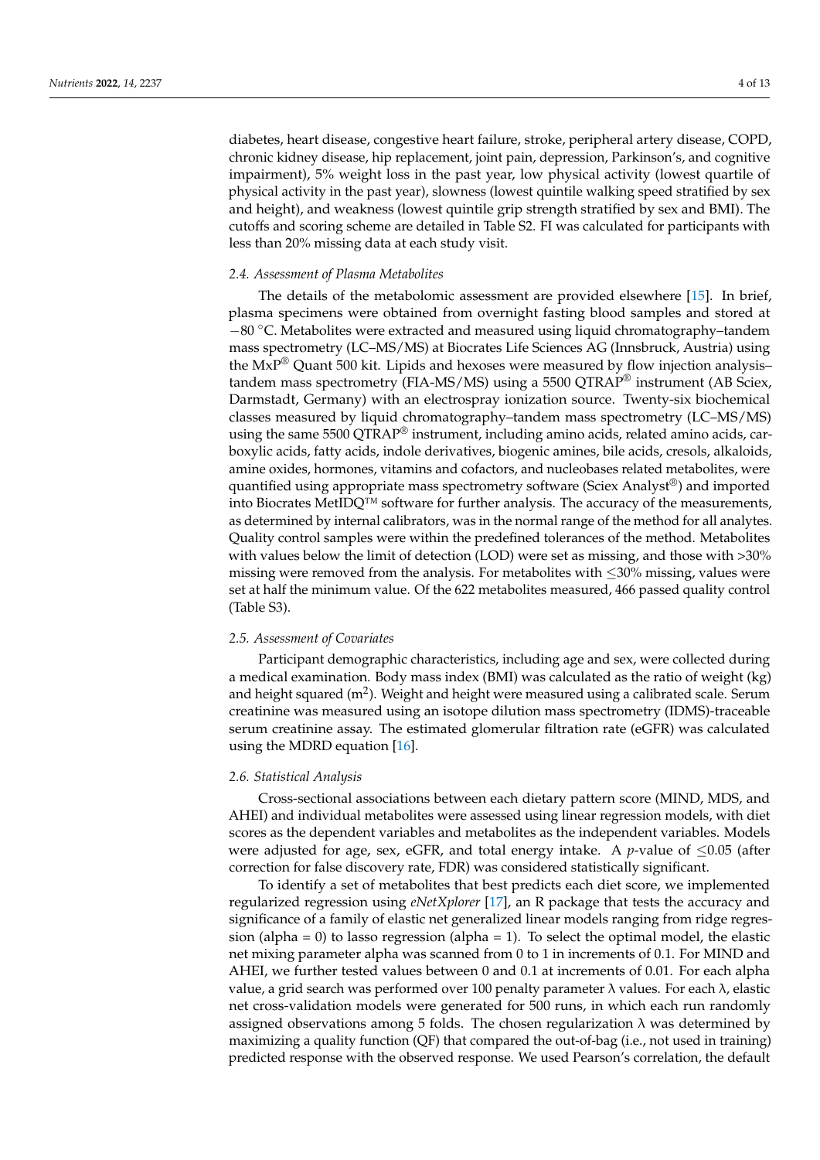diabetes, heart disease, congestive heart failure, stroke, peripheral artery disease, COPD, chronic kidney disease, hip replacement, joint pain, depression, Parkinson's, and cognitive impairment), 5% weight loss in the past year, low physical activity (lowest quartile of physical activity in the past year), slowness (lowest quintile walking speed stratified by sex and height), and weakness (lowest quintile grip strength stratified by sex and BMI). The cutoffs and scoring scheme are detailed in Table S2. FI was calculated for participants with less than 20% missing data at each study visit.

#### *2.4. Assessment of Plasma Metabolites*

The details of the metabolomic assessment are provided elsewhere [\[15\]](#page-10-14). In brief, plasma specimens were obtained from overnight fasting blood samples and stored at −80 ◦C. Metabolites were extracted and measured using liquid chromatography–tandem mass spectrometry (LC–MS/MS) at Biocrates Life Sciences AG (Innsbruck, Austria) using the  $MXP^{\circledR}$  Quant 500 kit. Lipids and hexoses were measured by flow injection analysis– tandem mass spectrometry (FIA-MS/MS) using a 5500 QTRAP<sup>®</sup> instrument (AB Sciex, Darmstadt, Germany) with an electrospray ionization source. Twenty-six biochemical classes measured by liquid chromatography–tandem mass spectrometry (LC–MS/MS) using the same 5500 QTRAP<sup>®</sup> instrument, including amino acids, related amino acids, carboxylic acids, fatty acids, indole derivatives, biogenic amines, bile acids, cresols, alkaloids, amine oxides, hormones, vitamins and cofactors, and nucleobases related metabolites, were quantified using appropriate mass spectrometry software (Sciex Analyst®) and imported into Biocrates MetIDQ™ software for further analysis. The accuracy of the measurements, as determined by internal calibrators, was in the normal range of the method for all analytes. Quality control samples were within the predefined tolerances of the method. Metabolites with values below the limit of detection (LOD) were set as missing, and those with >30% missing were removed from the analysis. For metabolites with  $\leq$ 30% missing, values were set at half the minimum value. Of the 622 metabolites measured, 466 passed quality control (Table S3).

## *2.5. Assessment of Covariates*

Participant demographic characteristics, including age and sex, were collected during a medical examination. Body mass index (BMI) was calculated as the ratio of weight (kg) and height squared (m<sup>2</sup>). Weight and height were measured using a calibrated scale. Serum creatinine was measured using an isotope dilution mass spectrometry (IDMS)-traceable serum creatinine assay. The estimated glomerular filtration rate (eGFR) was calculated using the MDRD equation [\[16\]](#page-10-15).

## *2.6. Statistical Analysis*

Cross-sectional associations between each dietary pattern score (MIND, MDS, and AHEI) and individual metabolites were assessed using linear regression models, with diet scores as the dependent variables and metabolites as the independent variables. Models were adjusted for age, sex, eGFR, and total energy intake. A *p*-value of ≤0.05 (after correction for false discovery rate, FDR) was considered statistically significant.

To identify a set of metabolites that best predicts each diet score, we implemented regularized regression using *eNetXplorer* [\[17\]](#page-10-16), an R package that tests the accuracy and significance of a family of elastic net generalized linear models ranging from ridge regression (alpha  $= 0$ ) to lasso regression (alpha  $= 1$ ). To select the optimal model, the elastic net mixing parameter alpha was scanned from 0 to 1 in increments of 0.1. For MIND and AHEI, we further tested values between 0 and 0.1 at increments of 0.01. For each alpha value, a grid search was performed over 100 penalty parameter λ values. For each λ, elastic net cross-validation models were generated for 500 runs, in which each run randomly assigned observations among 5 folds. The chosen regularization  $\lambda$  was determined by maximizing a quality function (QF) that compared the out-of-bag (i.e., not used in training) predicted response with the observed response. We used Pearson's correlation, the default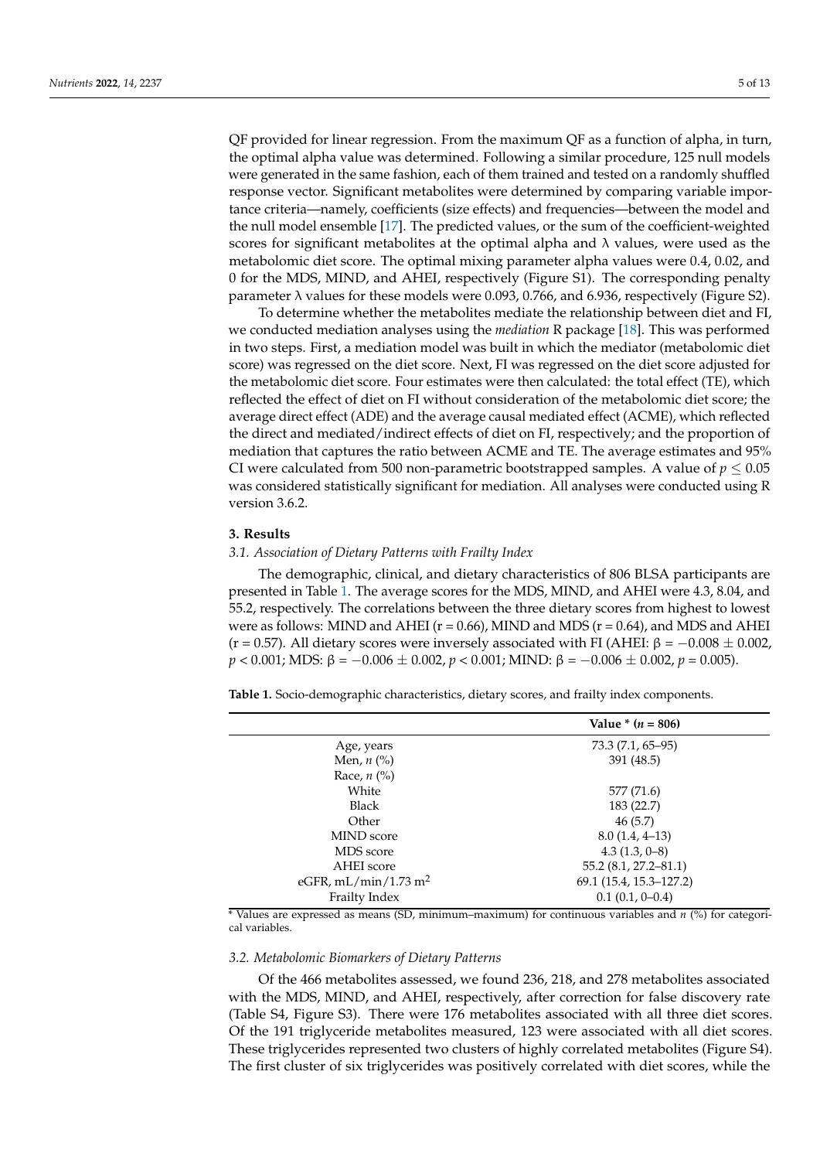QF provided for linear regression. From the maximum QF as a function of alpha, in turn, the optimal alpha value was determined. Following a similar procedure, 125 null models were generated in the same fashion, each of them trained and tested on a randomly shuffled response vector. Significant metabolites were determined by comparing variable importance criteria—namely, coefficients (size effects) and frequencies—between the model and the null model ensemble [\[17\]](#page-10-16). The predicted values, or the sum of the coefficient-weighted scores for significant metabolites at the optimal alpha and  $\lambda$  values, were used as the metabolomic diet score. The optimal mixing parameter alpha values were 0.4, 0.02, and 0 for the MDS, MIND, and AHEI, respectively (Figure S1). The corresponding penalty parameter  $\lambda$  values for these models were 0.093, 0.766, and 6.936, respectively (Figure S2).

To determine whether the metabolites mediate the relationship between diet and FI, we conducted mediation analyses using the *mediation* R package [\[18\]](#page-10-17). This was performed in two steps. First, a mediation model was built in which the mediator (metabolomic diet score) was regressed on the diet score. Next, FI was regressed on the diet score adjusted for the metabolomic diet score. Four estimates were then calculated: the total effect (TE), which reflected the effect of diet on FI without consideration of the metabolomic diet score; the average direct effect (ADE) and the average causal mediated effect (ACME), which reflected the direct and mediated/indirect effects of diet on FI, respectively; and the proportion of mediation that captures the ratio between ACME and TE. The average estimates and 95% CI were calculated from 500 non-parametric bootstrapped samples. A value of  $p \leq 0.05$ was considered statistically significant for mediation. All analyses were conducted using R version 3.6.2.

## **3. Results**

## *3.1. Association of Dietary Patterns with Frailty Index*

The demographic, clinical, and dietary characteristics of 806 BLSA participants are presented in Table [1.](#page-4-0) The average scores for the MDS, MIND, and AHEI were 4.3, 8.04, and 55.2, respectively. The correlations between the three dietary scores from highest to lowest were as follows: MIND and AHEI ( $r = 0.66$ ), MIND and MDS ( $r = 0.64$ ), and MDS and AHEI (r = 0.57). All dietary scores were inversely associated with FI (AHEI:  $\beta = -0.008 \pm 0.002$ , *p* < 0.001; MDS: β = −0.006 ± 0.002, *p* < 0.001; MIND: β = −0.006 ± 0.002, *p* = 0.005).

<span id="page-4-0"></span>**Table 1.** Socio-demographic characteristics, dietary scores, and frailty index components.

|                                  | Value * $(n = 806)$      |  |  |
|----------------------------------|--------------------------|--|--|
| Age, years                       | 73.3 (7.1, 65–95)        |  |  |
| Men, $n$ $\left(\% \right)$      | 391 (48.5)               |  |  |
| Race, $n$ (%)                    |                          |  |  |
| White                            | 577 (71.6)               |  |  |
| <b>Black</b>                     | 183 (22.7)               |  |  |
| Other                            | 46(5.7)                  |  |  |
| <b>MIND</b> score                | $8.0(1.4, 4-13)$         |  |  |
| MDS score                        | $4.3(1.3, 0-8)$          |  |  |
| AHEI score                       | $55.2(8.1, 27.2 - 81.1)$ |  |  |
| eGFR, mL/min/1.73 m <sup>2</sup> | 69.1 (15.4, 15.3–127.2)  |  |  |
| Frailty Index                    | $0.1(0.1, 0-0.4)$        |  |  |

\* Values are expressed as means (SD, minimum–maximum) for continuous variables and *n* (%) for categorical variables.

## *3.2. Metabolomic Biomarkers of Dietary Patterns*

Of the 466 metabolites assessed, we found 236, 218, and 278 metabolites associated with the MDS, MIND, and AHEI, respectively, after correction for false discovery rate (Table S4, Figure S3). There were 176 metabolites associated with all three diet scores. Of the 191 triglyceride metabolites measured, 123 were associated with all diet scores. These triglycerides represented two clusters of highly correlated metabolites (Figure S4). The first cluster of six triglycerides was positively correlated with diet scores, while the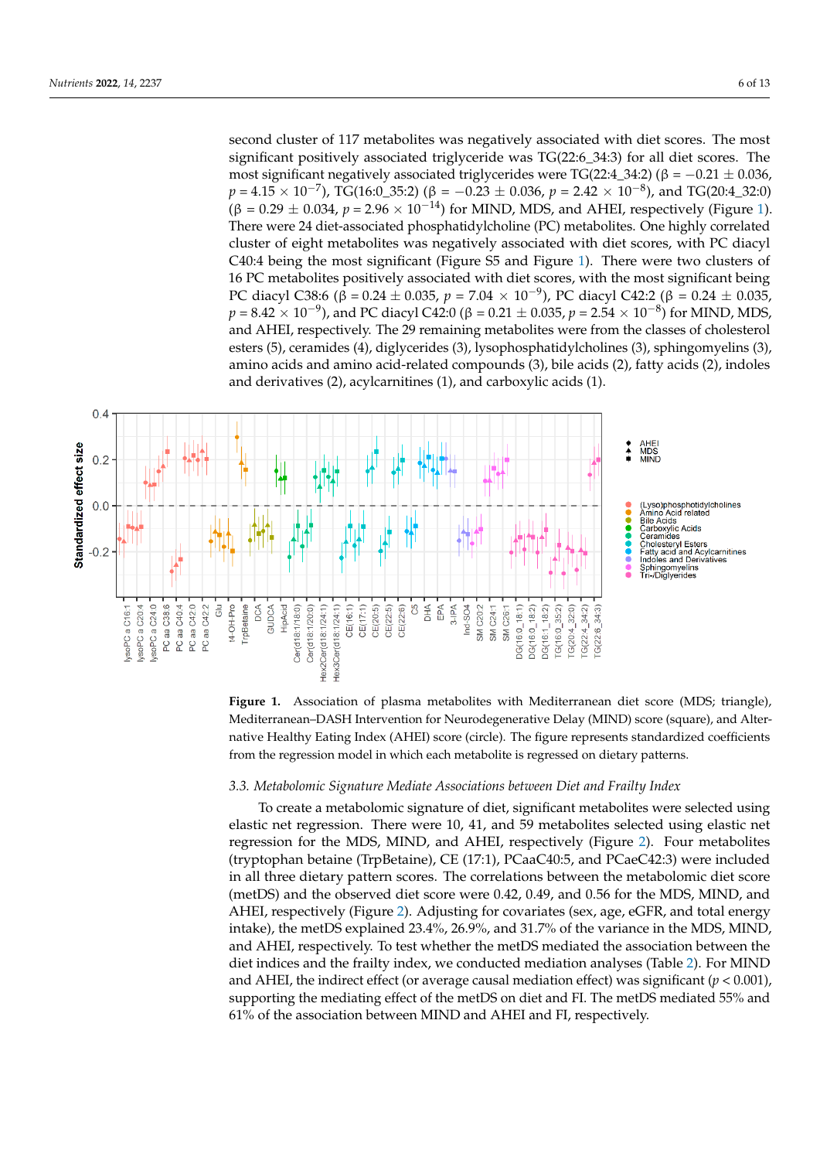second cluster of 117 metabolites was negatively associated with diet scores. The most significant positively associated triglyceride was TG(22:6\_34:3) for all diet scores. The most significant negatively associated triglycerides were TG(22:4\_34:2) (β = −0.21 ± 0.036,  $p = 4.15 \times 10^{-7}$ ), TG(16:0\_35:2) ( $\beta = -0.23 \pm 0.036$ ,  $p = 2.42 \times 10^{-8}$ ), and TG(20:4\_32:0)  $\beta$ ( $\beta$  = 0.29  $\pm$  0.034,  $p$  = 2.96  $\times$  10<sup>-14</sup>) for MIND, MDS, and AHEI, respectively (Figure 1). There were 24 diet-associated phosphatidylcholine (PC) metabolites. One highly correlated cluster of eight metabolites was negatively associated with diet scores, with PC diacyl C40:4 being the most significant (Figure S5 and Figure [1\)](#page-5-0). There were two clusters of 16 PC metabolites positively associated with diet scores, with the most significant being PC diacyl C38:6 ( $\beta = 0.24 \pm 0.035$ ,  $p = 7.04 \times 10^{-9}$ ), PC diacyl C42:2 ( $\beta = 0.24 \pm 0.035$ ,  $p = 8.42 \times 10^{-9}$ ), and PC diacyl C42:0 (β = 0.21  $\pm$  0.035,  $p = 2.54 \times 10^{-8}$ ) for MIND, MDS, and AHEI, respectively. The 29 remaining metabolites were from the classes of cholesterol esters (5), ceramides (4), diglycerides (3), lysophosphatidylcholines (3), sphingomyelins (3), amino acids and amino acid-related compounds (3), bile acids (2), fatty acids (2), indoles and derivatives (2), acylcarnitines (1), and carboxylic acids (1). and carboxylic acids (1).

<span id="page-5-0"></span>



#### *3.3. Metabolomic Signature Mediate Associations between Diet and Frailty Index*

To create a metabolomic signature of diet, significant metabolites were selected using elastic net regression. There were 10, 41, and 59 metabolites selected using elastic net regression for the MDS, MIND, and AHEI, respectively (Figure 2). Four metabolites (tryptophan betaine (TrpBetaine), CE (17:1), PCaaC40:5, and PCaeC42:3) were included in all three dietary pattern scores. The correlations between the metabolomic diet score (metDS) and the observed diet score were 0.42, 0.49, and 0.56 for the MDS, MIND, and AHEI, respectively (Figur[e](#page-6-0) 2). Adjusting for covariates (sex, age, eGFR, and total energy intake), the metDS explained 23.4%, 26.9%, and 31.7% of the variance in the MDS, MIND, and AHEI, respectively. To test whether the metDS mediated the association between the diet indices and the frailty index, we conducted mediation analyses (Table [2\)](#page-6-1). For MIND and AHEI, the indirect effect (or average causal mediation effect) was significant (*p* < 0.001), supporting the mediating effect of the metDS on diet and FI. The metDS mediated 55% and 61% of the association between MIND and AHEI and FI, respectively.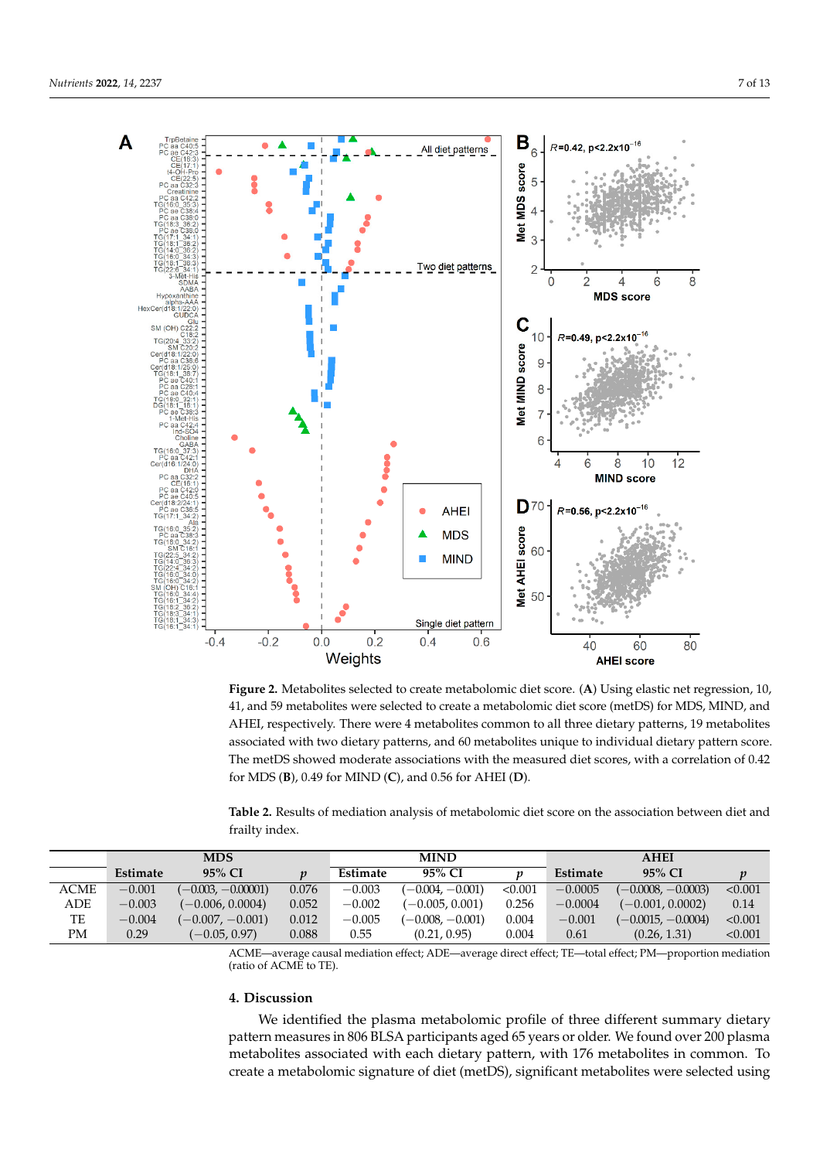<span id="page-6-0"></span>

Figure 2. Metabolites selected to create metabolomic diet score. (A) Using elastic net regression, 10, 41, and 59 metabolites were selected to create a metabolomic diet score (metDS) for MDS, MIND, 41, and 59 metabolites were selected to create a metabolomic diet score (metDS) for MDS, MIND, and<br>AHEI, respectively. There were 4 metabolites common to all three dietary patterns, 19 metabolites associated with two dietary patterns, and 60 metabolites unique to individual dietary pattern score. The metDS showed moderate associations with the measured diet scores, with a correlation of 0.42 of 0.42 for MDS (**B**), 0.49 for MIND (**C**), and 0.56 for AHEI (**D**). for MDS (**B**), 0.49 for MIND (**C**), and 0.56 for AHEI (**D**).

<span id="page-6-1"></span>

|                | Table 2. Results of mediation analysis of metabolomic diet score on the association between diet and |  |  |
|----------------|------------------------------------------------------------------------------------------------------|--|--|
| frailty index. |                                                                                                      |  |  |

|             | <b>MDS</b> |                      |                  | <b>MIND</b> |                    | <b>AHEI</b> |           |                      |         |
|-------------|------------|----------------------|------------------|-------------|--------------------|-------------|-----------|----------------------|---------|
|             | Estimate   | 95% CI               | $\boldsymbol{n}$ | Estimate    | 95% CI             |             | Estimate  | 95% CI               |         |
| <b>ACME</b> | $-0.001$   | $(-0.003, -0.00001)$ | 0.076            | $-0.003$    | $(-0.004, -0.001)$ | < 0.001     | $-0.0005$ | $(-0.0008, -0.0003)$ | < 0.001 |
| ADE         | $-0.003$   | $(-0.006, 0.0004)$   | 0.052            | $-0.002$    | $(-0.005, 0.001)$  | 0.256       | $-0.0004$ | $(-0.001, 0.0002)$   | 0.14    |
| TE          | $-0.004$   | $(-0.007, -0.001)$   | 0.012            | $-0.005$    | $(-0.008, -0.001)$ | 0.004       | $-0.001$  | $(-0.0015, -0.0004)$ | < 0.001 |
| PМ          | 0.29       | $(-0.05, 0.97)$      | 0.088            | 0.55        | (0.21, 0.95)       | 0.004       | 0.61      | (0.26, 1.31)         | < 0.001 |

ACME—average causal mediation effect; ADE—average direct effect; TE—total effect; PM—proportion mediation (ratio of ACME to TE).

# **4. Discussion**

We identified the plasma metabolomic profile of three different summary dietary pattern measures in 806 BLSA participants aged 65 years or older. We found over 200 plasma metabolites associated with each dietary pattern, with 176 metabolites in common. To create a metabolomic signature of diet (metDS), significant metabolites were selected using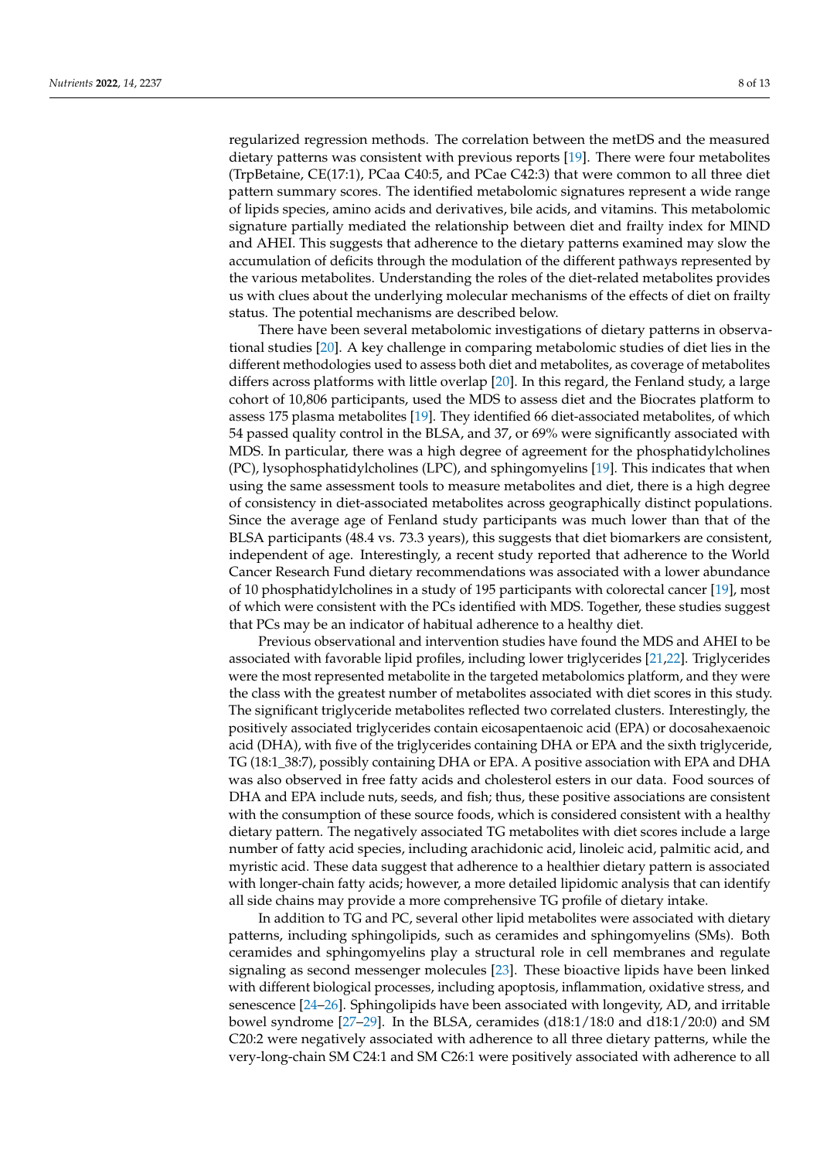regularized regression methods. The correlation between the metDS and the measured dietary patterns was consistent with previous reports [\[19\]](#page-10-18). There were four metabolites (TrpBetaine, CE(17:1), PCaa C40:5, and PCae C42:3) that were common to all three diet pattern summary scores. The identified metabolomic signatures represent a wide range of lipids species, amino acids and derivatives, bile acids, and vitamins. This metabolomic signature partially mediated the relationship between diet and frailty index for MIND and AHEI. This suggests that adherence to the dietary patterns examined may slow the accumulation of deficits through the modulation of the different pathways represented by the various metabolites. Understanding the roles of the diet-related metabolites provides us with clues about the underlying molecular mechanisms of the effects of diet on frailty status. The potential mechanisms are described below.

There have been several metabolomic investigations of dietary patterns in observational studies [\[20\]](#page-11-0). A key challenge in comparing metabolomic studies of diet lies in the different methodologies used to assess both diet and metabolites, as coverage of metabolites differs across platforms with little overlap [\[20\]](#page-11-0). In this regard, the Fenland study, a large cohort of 10,806 participants, used the MDS to assess diet and the Biocrates platform to assess 175 plasma metabolites [\[19\]](#page-10-18). They identified 66 diet-associated metabolites, of which 54 passed quality control in the BLSA, and 37, or 69% were significantly associated with MDS. In particular, there was a high degree of agreement for the phosphatidylcholines (PC), lysophosphatidylcholines (LPC), and sphingomyelins [\[19\]](#page-10-18). This indicates that when using the same assessment tools to measure metabolites and diet, there is a high degree of consistency in diet-associated metabolites across geographically distinct populations. Since the average age of Fenland study participants was much lower than that of the BLSA participants (48.4 vs. 73.3 years), this suggests that diet biomarkers are consistent, independent of age. Interestingly, a recent study reported that adherence to the World Cancer Research Fund dietary recommendations was associated with a lower abundance of 10 phosphatidylcholines in a study of 195 participants with colorectal cancer [\[19\]](#page-10-18), most of which were consistent with the PCs identified with MDS. Together, these studies suggest that PCs may be an indicator of habitual adherence to a healthy diet.

Previous observational and intervention studies have found the MDS and AHEI to be associated with favorable lipid profiles, including lower triglycerides [\[21,](#page-11-1)[22\]](#page-11-2). Triglycerides were the most represented metabolite in the targeted metabolomics platform, and they were the class with the greatest number of metabolites associated with diet scores in this study. The significant triglyceride metabolites reflected two correlated clusters. Interestingly, the positively associated triglycerides contain eicosapentaenoic acid (EPA) or docosahexaenoic acid (DHA), with five of the triglycerides containing DHA or EPA and the sixth triglyceride, TG (18:1\_38:7), possibly containing DHA or EPA. A positive association with EPA and DHA was also observed in free fatty acids and cholesterol esters in our data. Food sources of DHA and EPA include nuts, seeds, and fish; thus, these positive associations are consistent with the consumption of these source foods, which is considered consistent with a healthy dietary pattern. The negatively associated TG metabolites with diet scores include a large number of fatty acid species, including arachidonic acid, linoleic acid, palmitic acid, and myristic acid. These data suggest that adherence to a healthier dietary pattern is associated with longer-chain fatty acids; however, a more detailed lipidomic analysis that can identify all side chains may provide a more comprehensive TG profile of dietary intake.

In addition to TG and PC, several other lipid metabolites were associated with dietary patterns, including sphingolipids, such as ceramides and sphingomyelins (SMs). Both ceramides and sphingomyelins play a structural role in cell membranes and regulate signaling as second messenger molecules [\[23\]](#page-11-3). These bioactive lipids have been linked with different biological processes, including apoptosis, inflammation, oxidative stress, and senescence [\[24–](#page-11-4)[26\]](#page-11-5). Sphingolipids have been associated with longevity, AD, and irritable bowel syndrome [\[27–](#page-11-6)[29\]](#page-11-7). In the BLSA, ceramides (d18:1/18:0 and d18:1/20:0) and SM C20:2 were negatively associated with adherence to all three dietary patterns, while the very-long-chain SM C24:1 and SM C26:1 were positively associated with adherence to all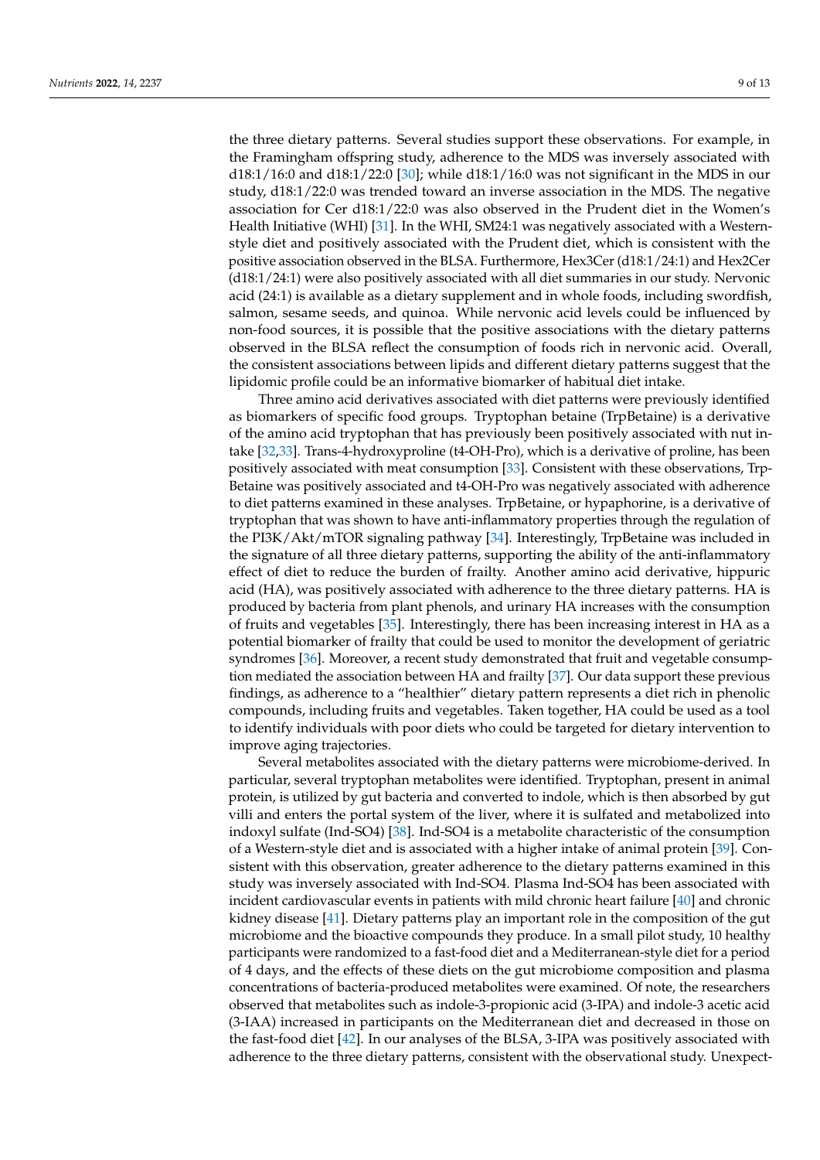the three dietary patterns. Several studies support these observations. For example, in the Framingham offspring study, adherence to the MDS was inversely associated with d18:1/16:0 and d18:1/22:0 [\[30\]](#page-11-8); while d18:1/16:0 was not significant in the MDS in our study, d18:1/22:0 was trended toward an inverse association in the MDS. The negative association for Cer d18:1/22:0 was also observed in the Prudent diet in the Women's Health Initiative (WHI) [\[31\]](#page-11-9). In the WHI, SM24:1 was negatively associated with a Westernstyle diet and positively associated with the Prudent diet, which is consistent with the positive association observed in the BLSA. Furthermore, Hex3Cer (d18:1/24:1) and Hex2Cer (d18:1/24:1) were also positively associated with all diet summaries in our study. Nervonic acid (24:1) is available as a dietary supplement and in whole foods, including swordfish, salmon, sesame seeds, and quinoa. While nervonic acid levels could be influenced by non-food sources, it is possible that the positive associations with the dietary patterns observed in the BLSA reflect the consumption of foods rich in nervonic acid. Overall, the consistent associations between lipids and different dietary patterns suggest that the lipidomic profile could be an informative biomarker of habitual diet intake.

Three amino acid derivatives associated with diet patterns were previously identified as biomarkers of specific food groups. Tryptophan betaine (TrpBetaine) is a derivative of the amino acid tryptophan that has previously been positively associated with nut intake [\[32,](#page-11-10)[33\]](#page-11-11). Trans-4-hydroxyproline (t4-OH-Pro), which is a derivative of proline, has been positively associated with meat consumption [\[33\]](#page-11-11). Consistent with these observations, Trp-Betaine was positively associated and t4-OH-Pro was negatively associated with adherence to diet patterns examined in these analyses. TrpBetaine, or hypaphorine, is a derivative of tryptophan that was shown to have anti-inflammatory properties through the regulation of the PI3K/Akt/mTOR signaling pathway [\[34\]](#page-11-12). Interestingly, TrpBetaine was included in the signature of all three dietary patterns, supporting the ability of the anti-inflammatory effect of diet to reduce the burden of frailty. Another amino acid derivative, hippuric acid (HA), was positively associated with adherence to the three dietary patterns. HA is produced by bacteria from plant phenols, and urinary HA increases with the consumption of fruits and vegetables [\[35\]](#page-11-13). Interestingly, there has been increasing interest in HA as a potential biomarker of frailty that could be used to monitor the development of geriatric syndromes [\[36\]](#page-11-14). Moreover, a recent study demonstrated that fruit and vegetable consumption mediated the association between HA and frailty [\[37\]](#page-11-15). Our data support these previous findings, as adherence to a "healthier" dietary pattern represents a diet rich in phenolic compounds, including fruits and vegetables. Taken together, HA could be used as a tool to identify individuals with poor diets who could be targeted for dietary intervention to improve aging trajectories.

Several metabolites associated with the dietary patterns were microbiome-derived. In particular, several tryptophan metabolites were identified. Tryptophan, present in animal protein, is utilized by gut bacteria and converted to indole, which is then absorbed by gut villi and enters the portal system of the liver, where it is sulfated and metabolized into indoxyl sulfate (Ind-SO4) [\[38\]](#page-11-16). Ind-SO4 is a metabolite characteristic of the consumption of a Western-style diet and is associated with a higher intake of animal protein [\[39\]](#page-11-17). Consistent with this observation, greater adherence to the dietary patterns examined in this study was inversely associated with Ind-SO4. Plasma Ind-SO4 has been associated with incident cardiovascular events in patients with mild chronic heart failure [\[40\]](#page-11-18) and chronic kidney disease [\[41\]](#page-11-19). Dietary patterns play an important role in the composition of the gut microbiome and the bioactive compounds they produce. In a small pilot study, 10 healthy participants were randomized to a fast-food diet and a Mediterranean-style diet for a period of 4 days, and the effects of these diets on the gut microbiome composition and plasma concentrations of bacteria-produced metabolites were examined. Of note, the researchers observed that metabolites such as indole-3-propionic acid (3-IPA) and indole-3 acetic acid (3-IAA) increased in participants on the Mediterranean diet and decreased in those on the fast-food diet [\[42\]](#page-11-20). In our analyses of the BLSA, 3-IPA was positively associated with adherence to the three dietary patterns, consistent with the observational study. Unexpect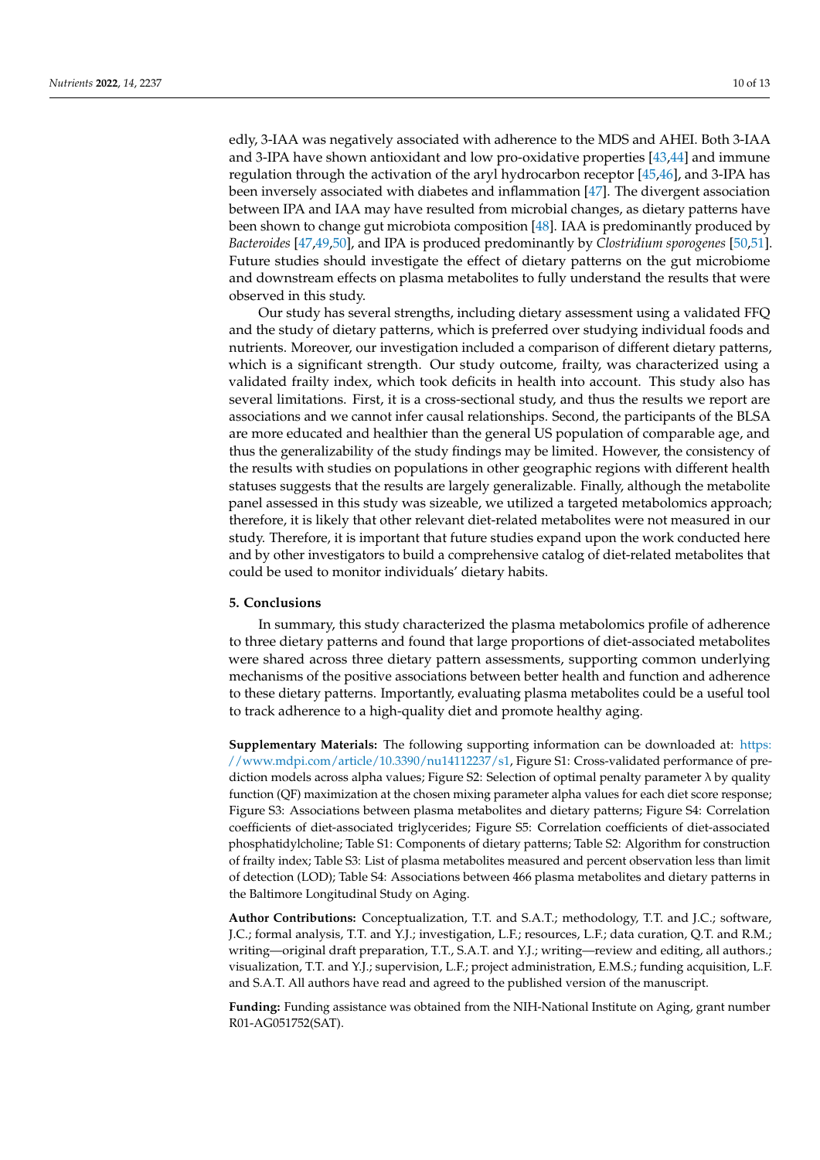edly, 3-IAA was negatively associated with adherence to the MDS and AHEI. Both 3-IAA and 3-IPA have shown antioxidant and low pro-oxidative properties [\[43](#page-11-21)[,44\]](#page-12-0) and immune regulation through the activation of the aryl hydrocarbon receptor [\[45](#page-12-1)[,46\]](#page-12-2), and 3-IPA has been inversely associated with diabetes and inflammation [\[47\]](#page-12-3). The divergent association between IPA and IAA may have resulted from microbial changes, as dietary patterns have been shown to change gut microbiota composition [\[48\]](#page-12-4). IAA is predominantly produced by *Bacteroides* [\[47](#page-12-3)[,49,](#page-12-5)[50\]](#page-12-6), and IPA is produced predominantly by *Clostridium sporogenes* [\[50](#page-12-6)[,51\]](#page-12-7). Future studies should investigate the effect of dietary patterns on the gut microbiome and downstream effects on plasma metabolites to fully understand the results that were observed in this study.

Our study has several strengths, including dietary assessment using a validated FFQ and the study of dietary patterns, which is preferred over studying individual foods and nutrients. Moreover, our investigation included a comparison of different dietary patterns, which is a significant strength. Our study outcome, frailty, was characterized using a validated frailty index, which took deficits in health into account. This study also has several limitations. First, it is a cross-sectional study, and thus the results we report are associations and we cannot infer causal relationships. Second, the participants of the BLSA are more educated and healthier than the general US population of comparable age, and thus the generalizability of the study findings may be limited. However, the consistency of the results with studies on populations in other geographic regions with different health statuses suggests that the results are largely generalizable. Finally, although the metabolite panel assessed in this study was sizeable, we utilized a targeted metabolomics approach; therefore, it is likely that other relevant diet-related metabolites were not measured in our study. Therefore, it is important that future studies expand upon the work conducted here and by other investigators to build a comprehensive catalog of diet-related metabolites that could be used to monitor individuals' dietary habits.

## **5. Conclusions**

In summary, this study characterized the plasma metabolomics profile of adherence to three dietary patterns and found that large proportions of diet-associated metabolites were shared across three dietary pattern assessments, supporting common underlying mechanisms of the positive associations between better health and function and adherence to these dietary patterns. Importantly, evaluating plasma metabolites could be a useful tool to track adherence to a high-quality diet and promote healthy aging.

**Supplementary Materials:** The following supporting information can be downloaded at: [https:](https://www.mdpi.com/article/10.3390/nu14112237/s1) [//www.mdpi.com/article/10.3390/nu14112237/s1,](https://www.mdpi.com/article/10.3390/nu14112237/s1) Figure S1: Cross-validated performance of prediction models across alpha values; Figure S2: Selection of optimal penalty parameter λ by quality function (QF) maximization at the chosen mixing parameter alpha values for each diet score response; Figure S3: Associations between plasma metabolites and dietary patterns; Figure S4: Correlation coefficients of diet-associated triglycerides; Figure S5: Correlation coefficients of diet-associated phosphatidylcholine; Table S1: Components of dietary patterns; Table S2: Algorithm for construction of frailty index; Table S3: List of plasma metabolites measured and percent observation less than limit of detection (LOD); Table S4: Associations between 466 plasma metabolites and dietary patterns in the Baltimore Longitudinal Study on Aging.

**Author Contributions:** Conceptualization, T.T. and S.A.T.; methodology, T.T. and J.C.; software, J.C.; formal analysis, T.T. and Y.J.; investigation, L.F.; resources, L.F.; data curation, Q.T. and R.M.; writing—original draft preparation, T.T., S.A.T. and Y.J.; writing—review and editing, all authors.; visualization, T.T. and Y.J.; supervision, L.F.; project administration, E.M.S.; funding acquisition, L.F. and S.A.T. All authors have read and agreed to the published version of the manuscript.

**Funding:** Funding assistance was obtained from the NIH-National Institute on Aging, grant number R01-AG051752(SAT).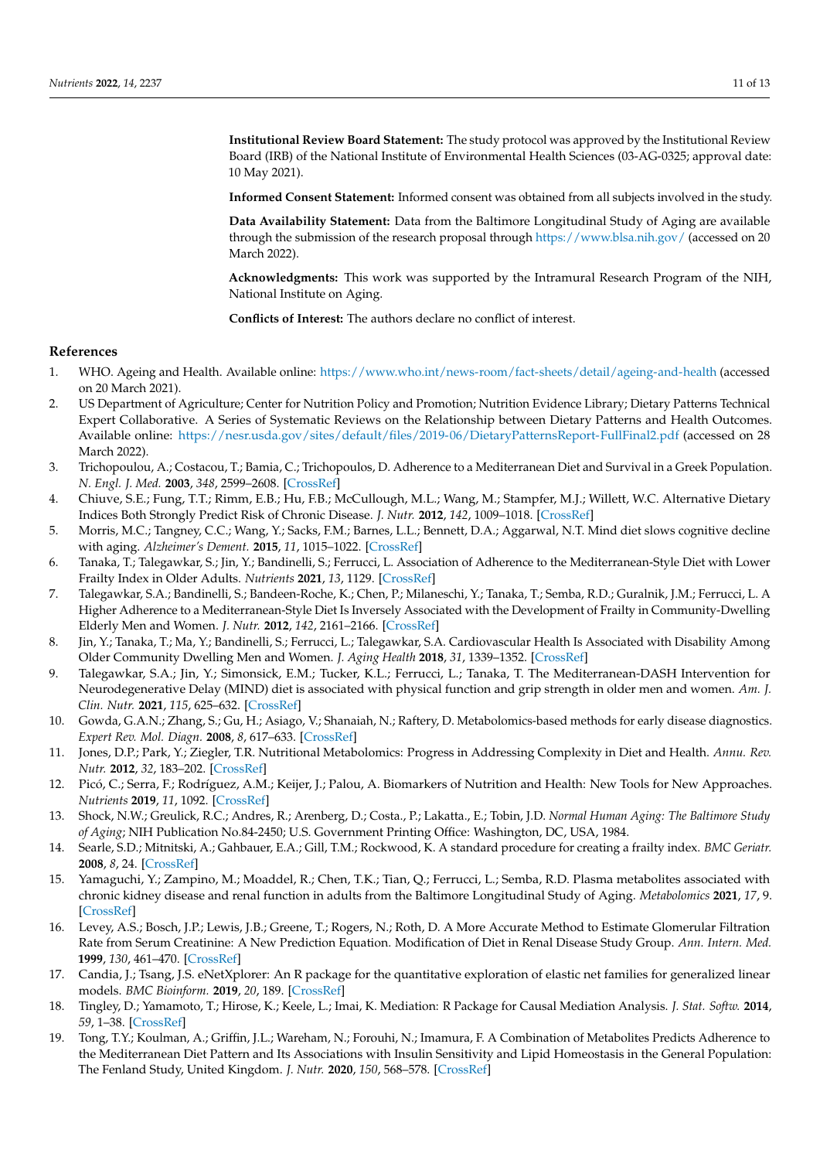**Institutional Review Board Statement:** The study protocol was approved by the Institutional Review Board (IRB) of the National Institute of Environmental Health Sciences (03-AG-0325; approval date: 10 May 2021).

**Informed Consent Statement:** Informed consent was obtained from all subjects involved in the study.

**Data Availability Statement:** Data from the Baltimore Longitudinal Study of Aging are available through the submission of the research proposal through <https://www.blsa.nih.gov/> (accessed on 20 March 2022).

**Acknowledgments:** This work was supported by the Intramural Research Program of the NIH, National Institute on Aging.

**Conflicts of Interest:** The authors declare no conflict of interest.

# **References**

- <span id="page-10-0"></span>1. WHO. Ageing and Health. Available online: <https://www.who.int/news-room/fact-sheets/detail/ageing-and-health> (accessed on 20 March 2021).
- <span id="page-10-1"></span>2. US Department of Agriculture; Center for Nutrition Policy and Promotion; Nutrition Evidence Library; Dietary Patterns Technical Expert Collaborative. A Series of Systematic Reviews on the Relationship between Dietary Patterns and Health Outcomes. Available online: <https://nesr.usda.gov/sites/default/files/2019-06/DietaryPatternsReport-FullFinal2.pdf> (accessed on 28 March 2022).
- <span id="page-10-2"></span>3. Trichopoulou, A.; Costacou, T.; Bamia, C.; Trichopoulos, D. Adherence to a Mediterranean Diet and Survival in a Greek Population. *N. Engl. J. Med.* **2003**, *348*, 2599–2608. [\[CrossRef\]](http://doi.org/10.1056/NEJMoa025039)
- <span id="page-10-3"></span>4. Chiuve, S.E.; Fung, T.T.; Rimm, E.B.; Hu, F.B.; McCullough, M.L.; Wang, M.; Stampfer, M.J.; Willett, W.C. Alternative Dietary Indices Both Strongly Predict Risk of Chronic Disease. *J. Nutr.* **2012**, *142*, 1009–1018. [\[CrossRef\]](http://doi.org/10.3945/jn.111.157222)
- <span id="page-10-4"></span>5. Morris, M.C.; Tangney, C.C.; Wang, Y.; Sacks, F.M.; Barnes, L.L.; Bennett, D.A.; Aggarwal, N.T. Mind diet slows cognitive decline with aging. *Alzheimer's Dement.* **2015**, *11*, 1015–1022. [\[CrossRef\]](http://doi.org/10.1016/j.jalz.2015.04.011)
- <span id="page-10-5"></span>6. Tanaka, T.; Talegawkar, S.; Jin, Y.; Bandinelli, S.; Ferrucci, L. Association of Adherence to the Mediterranean-Style Diet with Lower Frailty Index in Older Adults. *Nutrients* **2021**, *13*, 1129. [\[CrossRef\]](http://doi.org/10.3390/nu13041129)
- <span id="page-10-6"></span>7. Talegawkar, S.A.; Bandinelli, S.; Bandeen-Roche, K.; Chen, P.; Milaneschi, Y.; Tanaka, T.; Semba, R.D.; Guralnik, J.M.; Ferrucci, L. A Higher Adherence to a Mediterranean-Style Diet Is Inversely Associated with the Development of Frailty in Community-Dwelling Elderly Men and Women. *J. Nutr.* **2012**, *142*, 2161–2166. [\[CrossRef\]](http://doi.org/10.3945/jn.112.165498)
- <span id="page-10-7"></span>8. Jin, Y.; Tanaka, T.; Ma, Y.; Bandinelli, S.; Ferrucci, L.; Talegawkar, S.A. Cardiovascular Health Is Associated with Disability Among Older Community Dwelling Men and Women. *J. Aging Health* **2018**, *31*, 1339–1352. [\[CrossRef\]](http://doi.org/10.1177/0898264318778417)
- <span id="page-10-8"></span>9. Talegawkar, S.A.; Jin, Y.; Simonsick, E.M.; Tucker, K.L.; Ferrucci, L.; Tanaka, T. The Mediterranean-DASH Intervention for Neurodegenerative Delay (MIND) diet is associated with physical function and grip strength in older men and women. *Am. J. Clin. Nutr.* **2021**, *115*, 625–632. [\[CrossRef\]](http://doi.org/10.1093/ajcn/nqab310)
- <span id="page-10-9"></span>10. Gowda, G.A.N.; Zhang, S.; Gu, H.; Asiago, V.; Shanaiah, N.; Raftery, D. Metabolomics-based methods for early disease diagnostics. *Expert Rev. Mol. Diagn.* **2008**, *8*, 617–633. [\[CrossRef\]](http://doi.org/10.1586/14737159.8.5.617)
- <span id="page-10-10"></span>11. Jones, D.P.; Park, Y.; Ziegler, T.R. Nutritional Metabolomics: Progress in Addressing Complexity in Diet and Health. *Annu. Rev. Nutr.* **2012**, *32*, 183–202. [\[CrossRef\]](http://doi.org/10.1146/annurev-nutr-072610-145159)
- <span id="page-10-11"></span>12. Picó, C.; Serra, F.; Rodríguez, A.M.; Keijer, J.; Palou, A. Biomarkers of Nutrition and Health: New Tools for New Approaches. *Nutrients* **2019**, *11*, 1092. [\[CrossRef\]](http://doi.org/10.3390/nu11051092)
- <span id="page-10-12"></span>13. Shock, N.W.; Greulick, R.C.; Andres, R.; Arenberg, D.; Costa., P.; Lakatta., E.; Tobin, J.D. *Normal Human Aging: The Baltimore Study of Aging*; NIH Publication No.84-2450; U.S. Government Printing Office: Washington, DC, USA, 1984.
- <span id="page-10-13"></span>14. Searle, S.D.; Mitnitski, A.; Gahbauer, E.A.; Gill, T.M.; Rockwood, K. A standard procedure for creating a frailty index. *BMC Geriatr.* **2008**, *8*, 24. [\[CrossRef\]](http://doi.org/10.1186/1471-2318-8-24)
- <span id="page-10-14"></span>15. Yamaguchi, Y.; Zampino, M.; Moaddel, R.; Chen, T.K.; Tian, Q.; Ferrucci, L.; Semba, R.D. Plasma metabolites associated with chronic kidney disease and renal function in adults from the Baltimore Longitudinal Study of Aging. *Metabolomics* **2021**, *17*, 9. [\[CrossRef\]](http://doi.org/10.1007/s11306-020-01762-3)
- <span id="page-10-15"></span>16. Levey, A.S.; Bosch, J.P.; Lewis, J.B.; Greene, T.; Rogers, N.; Roth, D. A More Accurate Method to Estimate Glomerular Filtration Rate from Serum Creatinine: A New Prediction Equation. Modification of Diet in Renal Disease Study Group. *Ann. Intern. Med.* **1999**, *130*, 461–470. [\[CrossRef\]](http://doi.org/10.7326/0003-4819-130-6-199903160-00002)
- <span id="page-10-16"></span>17. Candia, J.; Tsang, J.S. eNetXplorer: An R package for the quantitative exploration of elastic net families for generalized linear models. *BMC Bioinform.* **2019**, *20*, 189. [\[CrossRef\]](http://doi.org/10.1186/s12859-019-2778-5)
- <span id="page-10-17"></span>18. Tingley, D.; Yamamoto, T.; Hirose, K.; Keele, L.; Imai, K. Mediation: R Package for Causal Mediation Analysis. *J. Stat. Softw.* **2014**, *59*, 1–38. [\[CrossRef\]](http://doi.org/10.18637/jss.v059.i05)
- <span id="page-10-18"></span>19. Tong, T.Y.; Koulman, A.; Griffin, J.L.; Wareham, N.; Forouhi, N.; Imamura, F. A Combination of Metabolites Predicts Adherence to the Mediterranean Diet Pattern and Its Associations with Insulin Sensitivity and Lipid Homeostasis in the General Population: The Fenland Study, United Kingdom. *J. Nutr.* **2020**, *150*, 568–578. [\[CrossRef\]](http://doi.org/10.1093/jn/nxz263)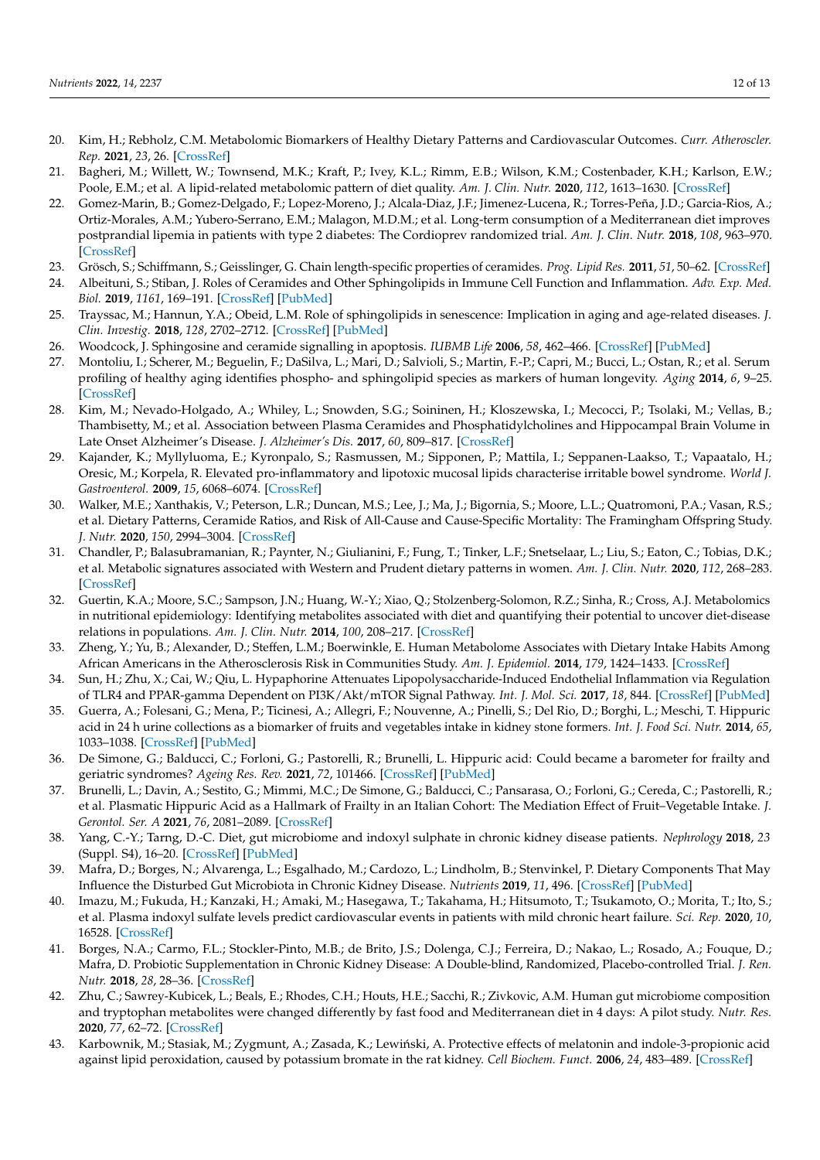- <span id="page-11-0"></span>20. Kim, H.; Rebholz, C.M. Metabolomic Biomarkers of Healthy Dietary Patterns and Cardiovascular Outcomes. *Curr. Atheroscler. Rep.* **2021**, *23*, 26. [\[CrossRef\]](http://doi.org/10.1007/s11883-021-00921-8)
- <span id="page-11-1"></span>21. Bagheri, M.; Willett, W.; Townsend, M.K.; Kraft, P.; Ivey, K.L.; Rimm, E.B.; Wilson, K.M.; Costenbader, K.H.; Karlson, E.W.; Poole, E.M.; et al. A lipid-related metabolomic pattern of diet quality. *Am. J. Clin. Nutr.* **2020**, *112*, 1613–1630. [\[CrossRef\]](http://doi.org/10.1093/ajcn/nqaa242)
- <span id="page-11-2"></span>22. Gomez-Marin, B.; Gomez-Delgado, F.; Lopez-Moreno, J.; Alcala-Diaz, J.F.; Jimenez-Lucena, R.; Torres-Peña, J.D.; Garcia-Rios, A.; Ortiz-Morales, A.M.; Yubero-Serrano, E.M.; Malagon, M.D.M.; et al. Long-term consumption of a Mediterranean diet improves postprandial lipemia in patients with type 2 diabetes: The Cordioprev randomized trial. *Am. J. Clin. Nutr.* **2018**, *108*, 963–970. [\[CrossRef\]](http://doi.org/10.1093/ajcn/nqy144)
- <span id="page-11-3"></span>23. Grösch, S.; Schiffmann, S.; Geisslinger, G. Chain length-specific properties of ceramides. *Prog. Lipid Res.* **2011**, *51*, 50–62. [\[CrossRef\]](http://doi.org/10.1016/j.plipres.2011.11.001)
- <span id="page-11-4"></span>24. Albeituni, S.; Stiban, J. Roles of Ceramides and Other Sphingolipids in Immune Cell Function and Inflammation. *Adv. Exp. Med. Biol.* **2019**, *1161*, 169–191. [\[CrossRef\]](http://doi.org/10.1007/978-3-030-21735-8_15) [\[PubMed\]](http://www.ncbi.nlm.nih.gov/pubmed/31562630)
- 25. Trayssac, M.; Hannun, Y.A.; Obeid, L.M. Role of sphingolipids in senescence: Implication in aging and age-related diseases. *J. Clin. Investig.* **2018**, *128*, 2702–2712. [\[CrossRef\]](http://doi.org/10.1172/JCI97949) [\[PubMed\]](http://www.ncbi.nlm.nih.gov/pubmed/30108193)
- <span id="page-11-5"></span>26. Woodcock, J. Sphingosine and ceramide signalling in apoptosis. *IUBMB Life* **2006**, *58*, 462–466. [\[CrossRef\]](http://doi.org/10.1080/15216540600871118) [\[PubMed\]](http://www.ncbi.nlm.nih.gov/pubmed/16916783)
- <span id="page-11-6"></span>27. Montoliu, I.; Scherer, M.; Beguelin, F.; DaSilva, L.; Mari, D.; Salvioli, S.; Martin, F.-P.; Capri, M.; Bucci, L.; Ostan, R.; et al. Serum profiling of healthy aging identifies phospho- and sphingolipid species as markers of human longevity. *Aging* **2014**, *6*, 9–25. [\[CrossRef\]](http://doi.org/10.18632/aging.100630)
- 28. Kim, M.; Nevado-Holgado, A.; Whiley, L.; Snowden, S.G.; Soininen, H.; Kloszewska, I.; Mecocci, P.; Tsolaki, M.; Vellas, B.; Thambisetty, M.; et al. Association between Plasma Ceramides and Phosphatidylcholines and Hippocampal Brain Volume in Late Onset Alzheimer's Disease. *J. Alzheimer's Dis.* **2017**, *60*, 809–817. [\[CrossRef\]](http://doi.org/10.3233/JAD-160645)
- <span id="page-11-7"></span>29. Kajander, K.; Myllyluoma, E.; Kyronpalo, S.; Rasmussen, M.; Sipponen, P.; Mattila, I.; Seppanen-Laakso, T.; Vapaatalo, H.; Oresic, M.; Korpela, R. Elevated pro-inflammatory and lipotoxic mucosal lipids characterise irritable bowel syndrome. *World J. Gastroenterol.* **2009**, *15*, 6068–6074. [\[CrossRef\]](http://doi.org/10.3748/wjg.15.6068)
- <span id="page-11-8"></span>30. Walker, M.E.; Xanthakis, V.; Peterson, L.R.; Duncan, M.S.; Lee, J.; Ma, J.; Bigornia, S.; Moore, L.L.; Quatromoni, P.A.; Vasan, R.S.; et al. Dietary Patterns, Ceramide Ratios, and Risk of All-Cause and Cause-Specific Mortality: The Framingham Offspring Study. *J. Nutr.* **2020**, *150*, 2994–3004. [\[CrossRef\]](http://doi.org/10.1093/jn/nxaa269)
- <span id="page-11-9"></span>31. Chandler, P.; Balasubramanian, R.; Paynter, N.; Giulianini, F.; Fung, T.; Tinker, L.F.; Snetselaar, L.; Liu, S.; Eaton, C.; Tobias, D.K.; et al. Metabolic signatures associated with Western and Prudent dietary patterns in women. *Am. J. Clin. Nutr.* **2020**, *112*, 268–283. [\[CrossRef\]](http://doi.org/10.1093/ajcn/nqaa131)
- <span id="page-11-10"></span>32. Guertin, K.A.; Moore, S.C.; Sampson, J.N.; Huang, W.-Y.; Xiao, Q.; Stolzenberg-Solomon, R.Z.; Sinha, R.; Cross, A.J. Metabolomics in nutritional epidemiology: Identifying metabolites associated with diet and quantifying their potential to uncover diet-disease relations in populations. *Am. J. Clin. Nutr.* **2014**, *100*, 208–217. [\[CrossRef\]](http://doi.org/10.3945/ajcn.113.078758)
- <span id="page-11-11"></span>33. Zheng, Y.; Yu, B.; Alexander, D.; Steffen, L.M.; Boerwinkle, E. Human Metabolome Associates with Dietary Intake Habits Among African Americans in the Atherosclerosis Risk in Communities Study. *Am. J. Epidemiol.* **2014**, *179*, 1424–1433. [\[CrossRef\]](http://doi.org/10.1093/aje/kwu073)
- <span id="page-11-12"></span>34. Sun, H.; Zhu, X.; Cai, W.; Qiu, L. Hypaphorine Attenuates Lipopolysaccharide-Induced Endothelial Inflammation via Regulation of TLR4 and PPAR-gamma Dependent on PI3K/Akt/mTOR Signal Pathway. *Int. J. Mol. Sci.* **2017**, *18*, 844. [\[CrossRef\]](http://doi.org/10.3390/ijms18040844) [\[PubMed\]](http://www.ncbi.nlm.nih.gov/pubmed/28420166)
- <span id="page-11-13"></span>35. Guerra, A.; Folesani, G.; Mena, P.; Ticinesi, A.; Allegri, F.; Nouvenne, A.; Pinelli, S.; Del Rio, D.; Borghi, L.; Meschi, T. Hippuric acid in 24 h urine collections as a biomarker of fruits and vegetables intake in kidney stone formers. *Int. J. Food Sci. Nutr.* **2014**, *65*, 1033–1038. [\[CrossRef\]](http://doi.org/10.3109/09637486.2014.950210) [\[PubMed\]](http://www.ncbi.nlm.nih.gov/pubmed/25198158)
- <span id="page-11-14"></span>36. De Simone, G.; Balducci, C.; Forloni, G.; Pastorelli, R.; Brunelli, L. Hippuric acid: Could became a barometer for frailty and geriatric syndromes? *Ageing Res. Rev.* **2021**, *72*, 101466. [\[CrossRef\]](http://doi.org/10.1016/j.arr.2021.101466) [\[PubMed\]](http://www.ncbi.nlm.nih.gov/pubmed/34560280)
- <span id="page-11-15"></span>37. Brunelli, L.; Davin, A.; Sestito, G.; Mimmi, M.C.; De Simone, G.; Balducci, C.; Pansarasa, O.; Forloni, G.; Cereda, C.; Pastorelli, R.; et al. Plasmatic Hippuric Acid as a Hallmark of Frailty in an Italian Cohort: The Mediation Effect of Fruit–Vegetable Intake. *J. Gerontol. Ser. A* **2021**, *76*, 2081–2089. [\[CrossRef\]](http://doi.org/10.1093/gerona/glab244)
- <span id="page-11-16"></span>38. Yang, C.-Y.; Tarng, D.-C. Diet, gut microbiome and indoxyl sulphate in chronic kidney disease patients. *Nephrology* **2018**, *23* (Suppl. S4), 16–20. [\[CrossRef\]](http://doi.org/10.1111/nep.13452) [\[PubMed\]](http://www.ncbi.nlm.nih.gov/pubmed/30298666)
- <span id="page-11-17"></span>39. Mafra, D.; Borges, N.; Alvarenga, L.; Esgalhado, M.; Cardozo, L.; Lindholm, B.; Stenvinkel, P. Dietary Components That May Influence the Disturbed Gut Microbiota in Chronic Kidney Disease. *Nutrients* **2019**, *11*, 496. [\[CrossRef\]](http://doi.org/10.3390/nu11030496) [\[PubMed\]](http://www.ncbi.nlm.nih.gov/pubmed/30818761)
- <span id="page-11-18"></span>40. Imazu, M.; Fukuda, H.; Kanzaki, H.; Amaki, M.; Hasegawa, T.; Takahama, H.; Hitsumoto, T.; Tsukamoto, O.; Morita, T.; Ito, S.; et al. Plasma indoxyl sulfate levels predict cardiovascular events in patients with mild chronic heart failure. *Sci. Rep.* **2020**, *10*, 16528. [\[CrossRef\]](http://doi.org/10.1038/s41598-020-73633-9)
- <span id="page-11-19"></span>41. Borges, N.A.; Carmo, F.L.; Stockler-Pinto, M.B.; de Brito, J.S.; Dolenga, C.J.; Ferreira, D.; Nakao, L.; Rosado, A.; Fouque, D.; Mafra, D. Probiotic Supplementation in Chronic Kidney Disease: A Double-blind, Randomized, Placebo-controlled Trial. *J. Ren. Nutr.* **2018**, *28*, 28–36. [\[CrossRef\]](http://doi.org/10.1053/j.jrn.2017.06.010)
- <span id="page-11-20"></span>42. Zhu, C.; Sawrey-Kubicek, L.; Beals, E.; Rhodes, C.H.; Houts, H.E.; Sacchi, R.; Zivkovic, A.M. Human gut microbiome composition and tryptophan metabolites were changed differently by fast food and Mediterranean diet in 4 days: A pilot study. *Nutr. Res.* **2020**, *77*, 62–72. [\[CrossRef\]](http://doi.org/10.1016/j.nutres.2020.03.005)
- <span id="page-11-21"></span>43. Karbownik, M.; Stasiak, M.; Zygmunt, A.; Zasada, K.; Lewiński, A. Protective effects of melatonin and indole-3-propionic acid against lipid peroxidation, caused by potassium bromate in the rat kidney. *Cell Biochem. Funct.* **2006**, *24*, 483–489. [\[CrossRef\]](http://doi.org/10.1002/cbf.1321)